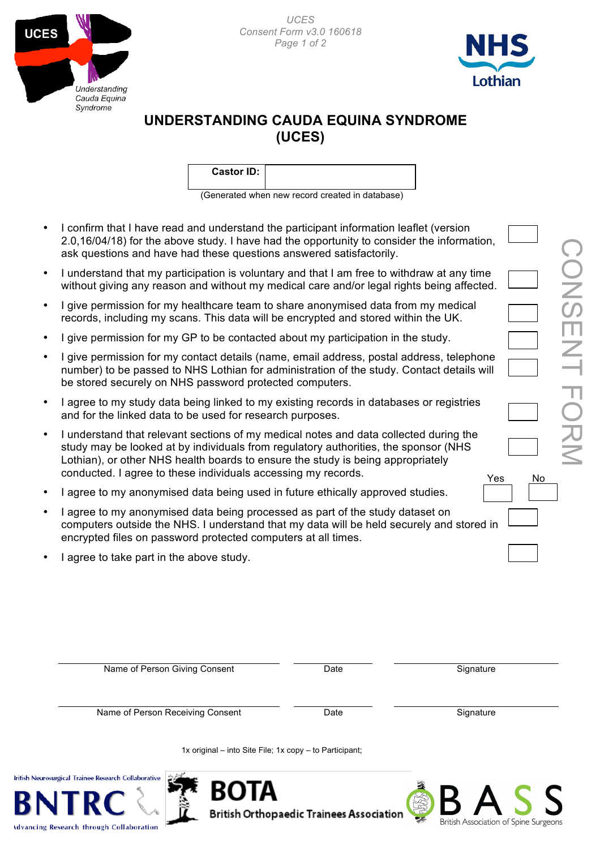





## **UNDERSTANDING CAUDA EQUINA SYNDROME (UCES)**

| <b>Castor ID:</b> |  |  |
|-------------------|--|--|
|                   |  |  |

(Generated when new record created in database)

- I confirm that I have read and understand the participant information leaflet (version 2.0,16/04/18) for the above study. I have had the opportunity to consider the information, ask questions and have had these questions answered satisfactorily.
- I understand that my participation is voluntary and that I am free to withdraw at any time without giving any reason and without my medical care and/or legal rights being affected.
- I give permission for my healthcare team to share anonymised data from my medical records, including my scans. This data will be encrypted and stored within the UK.
- I give permission for my GP to be contacted about my participation in the study.
- I give permission for my contact details (name, email address, postal address, telephone number) to be passed to NHS Lothian for administration of the study. Contact details will be stored securely on NHS password protected computers.
- I agree to my study data being linked to my existing records in databases or registries and for the linked data to be used for research purposes.
- I understand that relevant sections of my medical notes and data collected during the study may be looked at by individuals from regulatory authorities, the sponsor (NHS Lothian), or other NHS health boards to ensure the study is being appropriately conducted. I agree to these individuals accessing my records.
- I agree to my anonymised data being used in future ethically approved studies.
- I agree to my anonymised data being processed as part of the study dataset on computers outside the NHS. I understand that my data will be held securely and stored in encrypted files on password protected computers at all times.
- I agree to take part in the above study.

**British Neu** 

**Idvancing Research through Collaboration** 

| Name of Person Giving Consent                                                        | Date | Signature |  |
|--------------------------------------------------------------------------------------|------|-----------|--|
| Name of Person Receiving Consent                                                     | Date | Signature |  |
| 1x original – into Site File; 1x copy – to Participant;                              |      |           |  |
| - 14<br>osurgical Trainee Research Collaborative<br><b>ROTA</b><br><b>CONTRACTOR</b> |      |           |  |

**British Orthopaedic Trainees Association** 

Yes No

British Association of Spine Surgeons